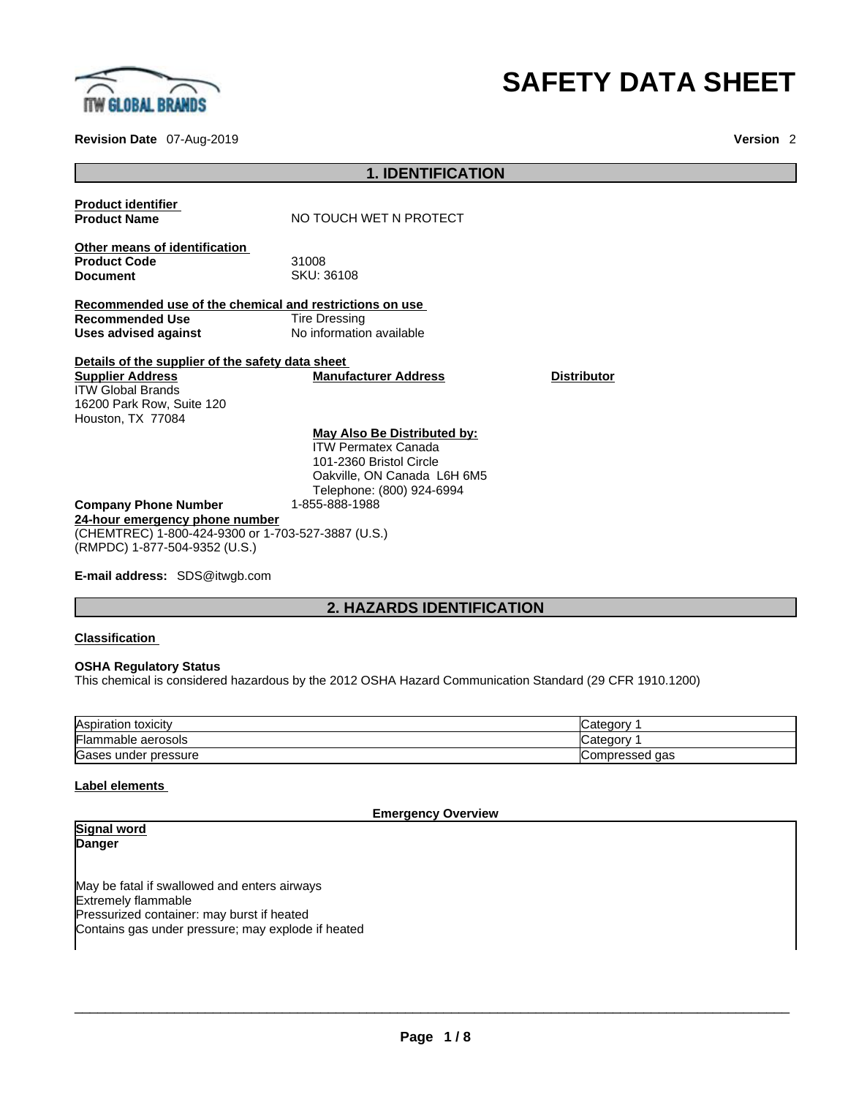

### **Revision Date** 07-Aug-2019 **Version** 2

# **SAFETY DATA SHEET**

|                                                                                                                                                           | <b>1. IDENTIFICATION</b>                                                                                                                                           |                    |
|-----------------------------------------------------------------------------------------------------------------------------------------------------------|--------------------------------------------------------------------------------------------------------------------------------------------------------------------|--------------------|
| <b>Product identifier</b><br><b>Product Name</b>                                                                                                          | NO TOUCH WET N PROTECT                                                                                                                                             |                    |
| Other means of identification<br><b>Product Code</b><br><b>Document</b>                                                                                   | 31008<br>SKU: 36108                                                                                                                                                |                    |
| Recommended use of the chemical and restrictions on use<br><b>Recommended Use</b><br>Uses advised against                                                 | Tire Dressing<br>No information available                                                                                                                          |                    |
| Details of the supplier of the safety data sheet<br><b>Supplier Address</b><br><b>ITW Global Brands</b><br>16200 Park Row, Suite 120<br>Houston, TX 77084 | <b>Manufacturer Address</b>                                                                                                                                        | <b>Distributor</b> |
| <b>Company Phone Number</b><br>24-hour emergency phone number<br>(CHEMTREC) 1-800-424-9300 or 1-703-527-3887 (U.S.)<br>(RMPDC) 1-877-504-9352 (U.S.)      | May Also Be Distributed by:<br><b>ITW Permatex Canada</b><br>101-2360 Bristol Circle<br>Oakville, ON Canada L6H 6M5<br>Telephone: (800) 924-6994<br>1-855-888-1988 |                    |

**E-mail address:** SDS@itwgb.com

# **2. HAZARDS IDENTIFICATION**

#### **Classification**

#### **OSHA Regulatory Status**

This chemical is considered hazardous by the 2012 OSHA Hazard Communication Standard (29 CFR 1910.1200)

| Aspiration toxicity       | vinner<br>valeuu   |
|---------------------------|--------------------|
| Flammable aerosols        | `at≙n∩r\<br>valeul |
| Gases<br>s under pressure | Compressed<br>aas  |

# **Label elements**

**Emergency Overview** 

| Danger                                                                                           |  |
|--------------------------------------------------------------------------------------------------|--|
|                                                                                                  |  |
| May be fatal if swallowed and enters airways                                                     |  |
| Extremely flammable                                                                              |  |
| Pressurized container: may burst if heated<br>Contains gas under pressure; may explode if heated |  |
|                                                                                                  |  |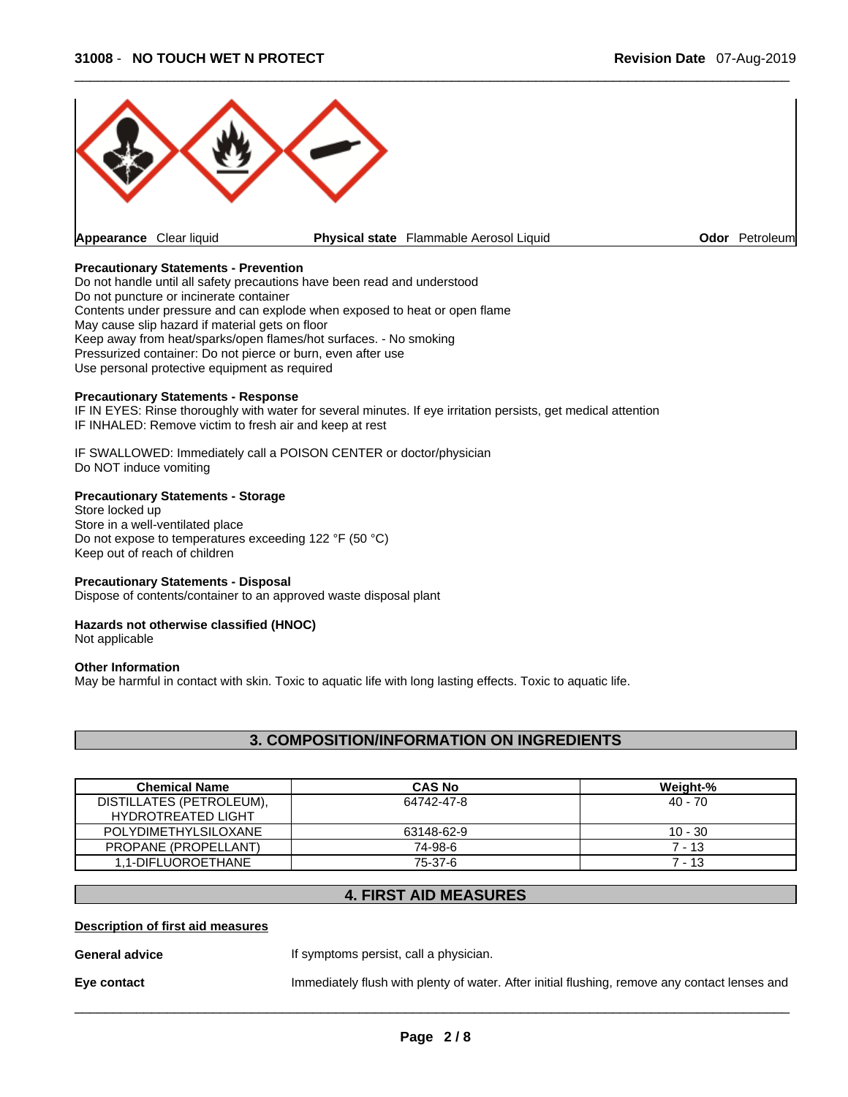

#### **Precautionary Statements - Prevention**

Do not handle until all safety precautions have been read and understood Do not puncture or incinerate container Contents under pressure and can explode when exposed to heat or open flame May cause slip hazard if material gets on floor Keep away from heat/sparks/open flames/hot surfaces. - No smoking Pressurized container: Do not pierce or burn, even after use Use personal protective equipment as required

# **Precautionary Statements - Response**

IF IN EYES: Rinse thoroughly with water for several minutes. If eye irritation persists, get medical attention IF INHALED: Remove victim to fresh air and keep at rest

IF SWALLOWED: Immediately call a POISON CENTER or doctor/physician Do NOT induce vomiting

#### **Precautionary Statements - Storage**

Store locked up Store in a well-ventilated place Do not expose to temperatures exceeding 122 °F (50 °C) Keep out of reach of children

#### **Precautionary Statements - Disposal**

Dispose of contents/container to an approved waste disposal plant

#### **Hazards not otherwise classified (HNOC)**

Not applicable

#### **Other Information**

May be harmful in contact with skin. Toxic to aquatic life with long lasting effects. Toxic to aquatic life.

# **3. COMPOSITION/INFORMATION ON INGREDIENTS**

| <b>Chemical Name</b>                                  | <b>CAS No</b> | Weight-%  |
|-------------------------------------------------------|---------------|-----------|
| DISTILLATES (PETROLEUM),<br><b>HYDROTREATED LIGHT</b> | 64742-47-8    | 40 - 70   |
| POLYDIMETHYLSILOXANE                                  | 63148-62-9    | $10 - 30$ |
| PROPANE (PROPELLANT)                                  | 74-98-6       | $7 - 13$  |
| 1.1-DIFLUOROETHANE                                    | 75-37-6       | 7 - 13    |

# **4. FIRST AID MEASURES**

#### **Description of first aid measures**

**General advice If** symptoms persist, call a physician.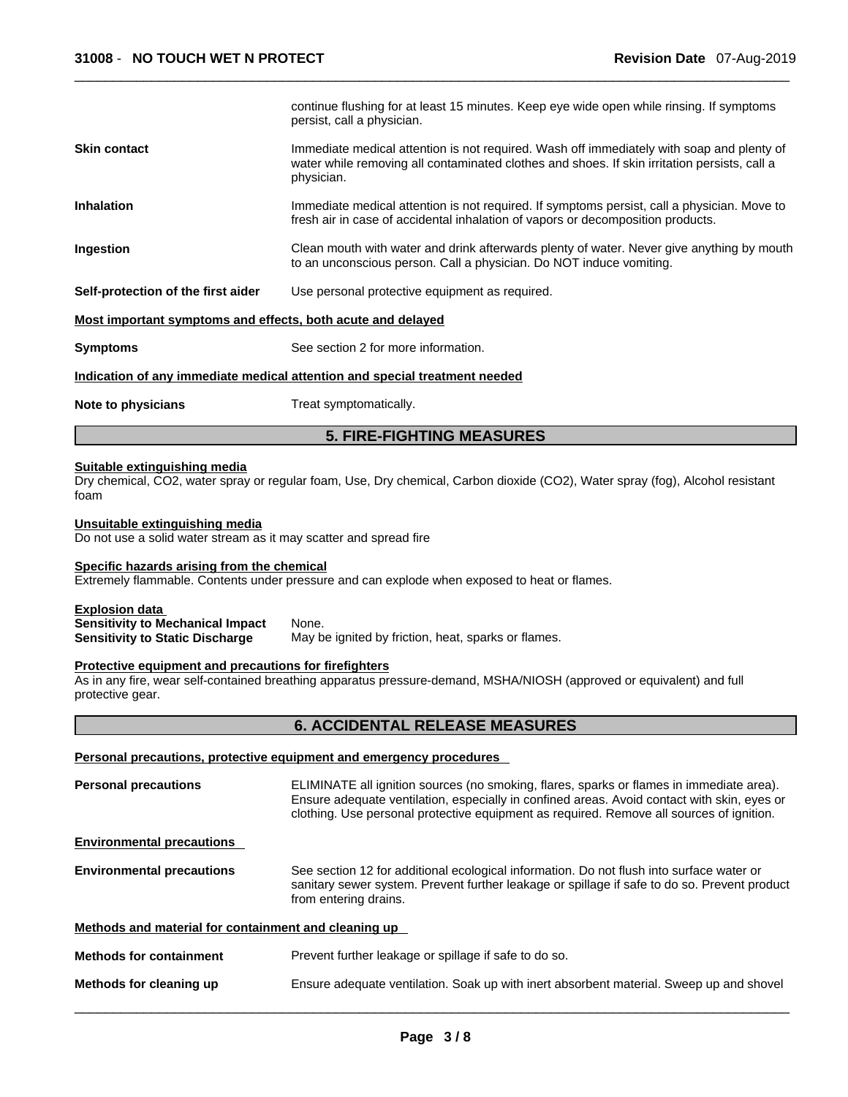|                                                                                                            | continue flushing for at least 15 minutes. Keep eye wide open while rinsing. If symptoms<br>persist, call a physician.                                                                                                                                                              |  |  |  |
|------------------------------------------------------------------------------------------------------------|-------------------------------------------------------------------------------------------------------------------------------------------------------------------------------------------------------------------------------------------------------------------------------------|--|--|--|
| <b>Skin contact</b>                                                                                        | Immediate medical attention is not required. Wash off immediately with soap and plenty of<br>water while removing all contaminated clothes and shoes. If skin irritation persists, call a<br>physician.                                                                             |  |  |  |
| <b>Inhalation</b>                                                                                          | Immediate medical attention is not required. If symptoms persist, call a physician. Move to<br>fresh air in case of accidental inhalation of vapors or decomposition products.                                                                                                      |  |  |  |
| Ingestion                                                                                                  | Clean mouth with water and drink afterwards plenty of water. Never give anything by mouth<br>to an unconscious person. Call a physician. Do NOT induce vomiting.                                                                                                                    |  |  |  |
| Self-protection of the first aider                                                                         | Use personal protective equipment as required.                                                                                                                                                                                                                                      |  |  |  |
| Most important symptoms and effects, both acute and delayed                                                |                                                                                                                                                                                                                                                                                     |  |  |  |
| <b>Symptoms</b>                                                                                            | See section 2 for more information.                                                                                                                                                                                                                                                 |  |  |  |
|                                                                                                            | Indication of any immediate medical attention and special treatment needed                                                                                                                                                                                                          |  |  |  |
| Note to physicians                                                                                         | Treat symptomatically.                                                                                                                                                                                                                                                              |  |  |  |
|                                                                                                            | <b>5. FIRE-FIGHTING MEASURES</b>                                                                                                                                                                                                                                                    |  |  |  |
| <b>Suitable extinguishing media</b><br>foam                                                                | Dry chemical, CO2, water spray or regular foam, Use, Dry chemical, Carbon dioxide (CO2), Water spray (fog), Alcohol resistant                                                                                                                                                       |  |  |  |
|                                                                                                            |                                                                                                                                                                                                                                                                                     |  |  |  |
| Unsuitable extinguishing media<br>Do not use a solid water stream as it may scatter and spread fire        |                                                                                                                                                                                                                                                                                     |  |  |  |
| Specific hazards arising from the chemical                                                                 | Extremely flammable. Contents under pressure and can explode when exposed to heat or flames.                                                                                                                                                                                        |  |  |  |
| <b>Explosion data</b><br><b>Sensitivity to Mechanical Impact</b><br><b>Sensitivity to Static Discharge</b> | None.<br>May be ignited by friction, heat, sparks or flames.                                                                                                                                                                                                                        |  |  |  |
| Protective equipment and precautions for firefighters<br>protective gear.                                  | As in any fire, wear self-contained breathing apparatus pressure-demand, MSHA/NIOSH (approved or equivalent) and full                                                                                                                                                               |  |  |  |
|                                                                                                            | <b>6. ACCIDENTAL RELEASE MEASURES</b>                                                                                                                                                                                                                                               |  |  |  |
|                                                                                                            | Personal precautions, protective equipment and emergency procedures                                                                                                                                                                                                                 |  |  |  |
| <b>Personal precautions</b>                                                                                | ELIMINATE all ignition sources (no smoking, flares, sparks or flames in immediate area).<br>Ensure adequate ventilation, especially in confined areas. Avoid contact with skin, eyes or<br>clothing. Use personal protective equipment as required. Remove all sources of ignition. |  |  |  |
| <b>Environmental precautions</b>                                                                           |                                                                                                                                                                                                                                                                                     |  |  |  |
| <b>Environmental precautions</b>                                                                           | See section 12 for additional ecological information. Do not flush into surface water or<br>from entering drains.                                                                                                                                                                   |  |  |  |
| Methods and material for containment and cleaning up                                                       | sanitary sewer system. Prevent further leakage or spillage if safe to do so. Prevent product                                                                                                                                                                                        |  |  |  |
| <b>Methods for containment</b>                                                                             | Prevent further leakage or spillage if safe to do so.                                                                                                                                                                                                                               |  |  |  |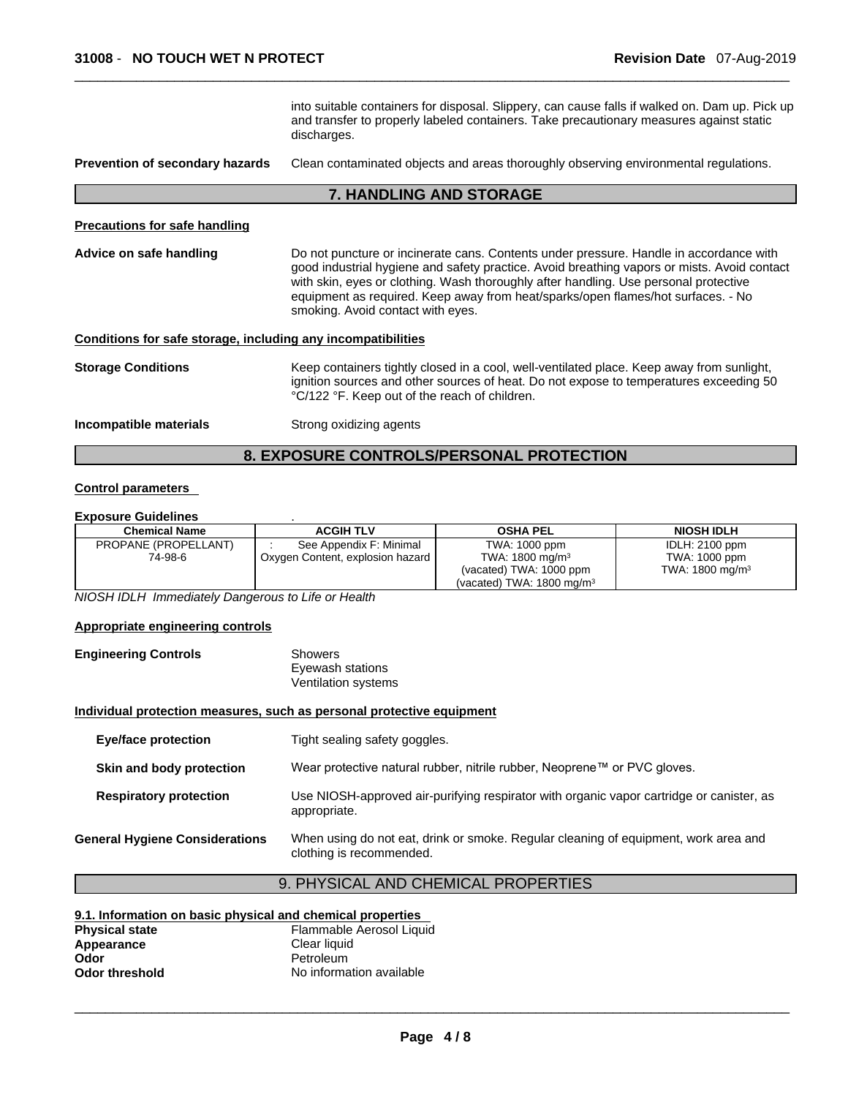into suitable containers for disposal. Slippery, can cause falls if walked on. Dam up. Pick up and transfer to properly labeled containers. Take precautionary measures against static discharges.

#### **Prevention of secondary hazards** Clean contaminated objects and areas thoroughly observing environmental regulations.

#### **7. HANDLING AND STORAGE**

#### **Precautions for safe handling**

**Advice on safe handling** Do not puncture or incinerate cans. Contents under pressure. Handle in accordance with good industrial hygiene and safety practice. Avoid breathing vapors or mists. Avoid contact with skin, eyes or clothing. Wash thoroughly after handling. Use personal protective equipment as required. Keep away from heat/sparks/open flames/hot surfaces. - No smoking. Avoid contact with eyes.

#### **Conditions for safe storage, including any incompatibilities**

| <b>Storage Conditions</b> | Keep containers tightly closed in a cool, well-ventilated place. Keep away from sunlight,<br>ignition sources and other sources of heat. Do not expose to temperatures exceeding 50<br>°C/122 °F. Keep out of the reach of children. |
|---------------------------|--------------------------------------------------------------------------------------------------------------------------------------------------------------------------------------------------------------------------------------|
| Incompatible materials    | Strong oxidizing agents                                                                                                                                                                                                              |

# **8. EXPOSURE CONTROLS/PERSONAL PROTECTION**

#### **Control parameters**

#### **Exposure Guidelines** .

| <b>Chemical Name</b> | <b>ACGIH TLV</b>                 | <b>OSHA PEL</b>                      | <b>NIOSH IDLH</b>          |
|----------------------|----------------------------------|--------------------------------------|----------------------------|
| PROPANE (PROPELLANT) | See Appendix F: Minimal          | TWA: 1000 ppm                        | <b>IDLH: 2100 ppm</b>      |
| 74-98-6              | Oxygen Content, explosion hazard | TWA: $1800 \text{ mg/m}^3$           | TWA: 1000 ppm              |
|                      |                                  | (vacated) TWA: 1000 ppm              | TWA: $1800 \text{ mg/m}^3$ |
|                      |                                  | (vacated) TWA: $1800 \text{ mg/m}^3$ |                            |

*NIOSH IDLH Immediately Dangerous to Life or Health* 

#### **Appropriate engineering controls**

**Engineering Controls** Showers Eyewash stations Ventilation systems

#### **Individual protection measures, such as personal protective equipment**

| <b>Eye/face protection</b>            | Tight sealing safety goggles.                                                                                   |
|---------------------------------------|-----------------------------------------------------------------------------------------------------------------|
| Skin and body protection              | Wear protective natural rubber, nitrile rubber, Neoprene™ or PVC gloves.                                        |
| <b>Respiratory protection</b>         | Use NIOSH-approved air-purifying respirator with organic vapor cartridge or canister, as<br>appropriate.        |
| <b>General Hygiene Considerations</b> | When using do not eat, drink or smoke. Regular cleaning of equipment, work area and<br>clothing is recommended. |

# 9. PHYSICAL AND CHEMICAL PROPERTIES

#### **9.1. Information on basic physical and chemical properties Physical state** Flammable Aerosol Liquid<br> **Appearance** Clear liquid Appearance<br>Odor **Odor** Petroleum **Odor threshold** No information available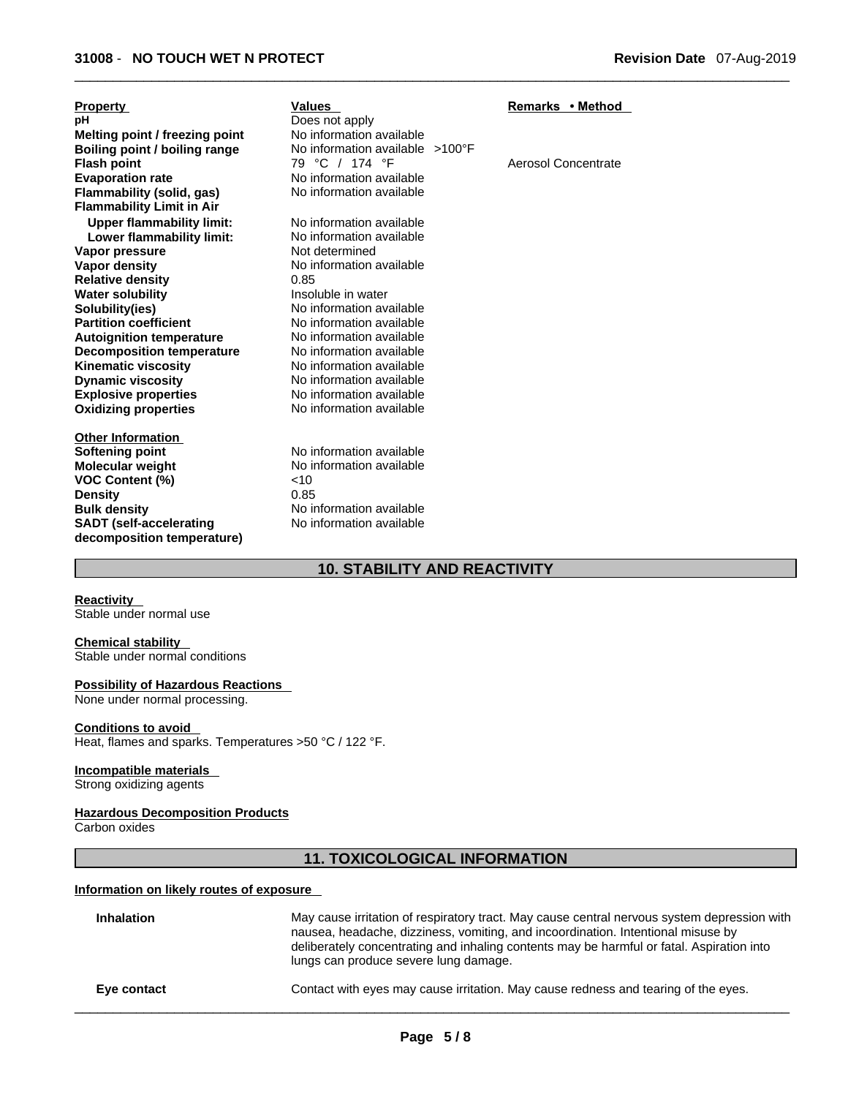| <b>Property</b>                  | Values                          | Remarks • Method    |
|----------------------------------|---------------------------------|---------------------|
| рH                               | Does not apply                  |                     |
| Melting point / freezing point   | No information available        |                     |
| Boiling point / boiling range    | No information available >100°F |                     |
| <b>Flash point</b>               | 79 °C / 174 °F                  | Aerosol Concentrate |
| <b>Evaporation rate</b>          | No information available        |                     |
| Flammability (solid, gas)        | No information available        |                     |
| <b>Flammability Limit in Air</b> |                                 |                     |
| <b>Upper flammability limit:</b> | No information available        |                     |
| Lower flammability limit:        | No information available        |                     |
| Vapor pressure                   | Not determined                  |                     |
| <b>Vapor density</b>             | No information available        |                     |
| <b>Relative density</b>          | 0.85                            |                     |
| <b>Water solubility</b>          | Insoluble in water              |                     |
| Solubility(ies)                  | No information available        |                     |
| <b>Partition coefficient</b>     | No information available        |                     |
| <b>Autoignition temperature</b>  | No information available        |                     |
| <b>Decomposition temperature</b> | No information available        |                     |
| <b>Kinematic viscosity</b>       | No information available        |                     |
| <b>Dynamic viscosity</b>         | No information available        |                     |
| <b>Explosive properties</b>      | No information available        |                     |
| <b>Oxidizing properties</b>      | No information available        |                     |
| <b>Other Information</b>         |                                 |                     |
| <b>Softening point</b>           | No information available        |                     |
| <b>Molecular weight</b>          | No information available        |                     |
| <b>VOC Content (%)</b>           | 10                              |                     |
| <b>Density</b>                   | 0.85                            |                     |
| <b>Bulk density</b>              | No information available        |                     |
| <b>SADT</b> (self-accelerating   | No information available        |                     |
| decomposition temperature)       |                                 |                     |

# **10. STABILITY AND REACTIVITY**

**Reactivity**  Stable under normal use

#### **Chemical stability**

Stable under normal conditions

### **Possibility of Hazardous Reactions**

None under normal processing.

#### **Conditions to avoid**

Heat, flames and sparks. Temperatures >50 °C / 122 °F.

#### **Incompatible materials**

Strong oxidizing agents

#### **Hazardous Decomposition Products**

Carbon oxides

# **11. TOXICOLOGICAL INFORMATION**

# **Information on likely routes of exposure**

| <b>Inhalation</b> | May cause irritation of respiratory tract. May cause central nervous system depression with<br>nausea, headache, dizziness, vomiting, and incoordination. Intentional misuse by<br>deliberately concentrating and inhaling contents may be harmful or fatal. Aspiration into<br>lungs can produce severe lung damage. |
|-------------------|-----------------------------------------------------------------------------------------------------------------------------------------------------------------------------------------------------------------------------------------------------------------------------------------------------------------------|
| Eye contact       | Contact with eyes may cause irritation. May cause redness and tearing of the eyes.                                                                                                                                                                                                                                    |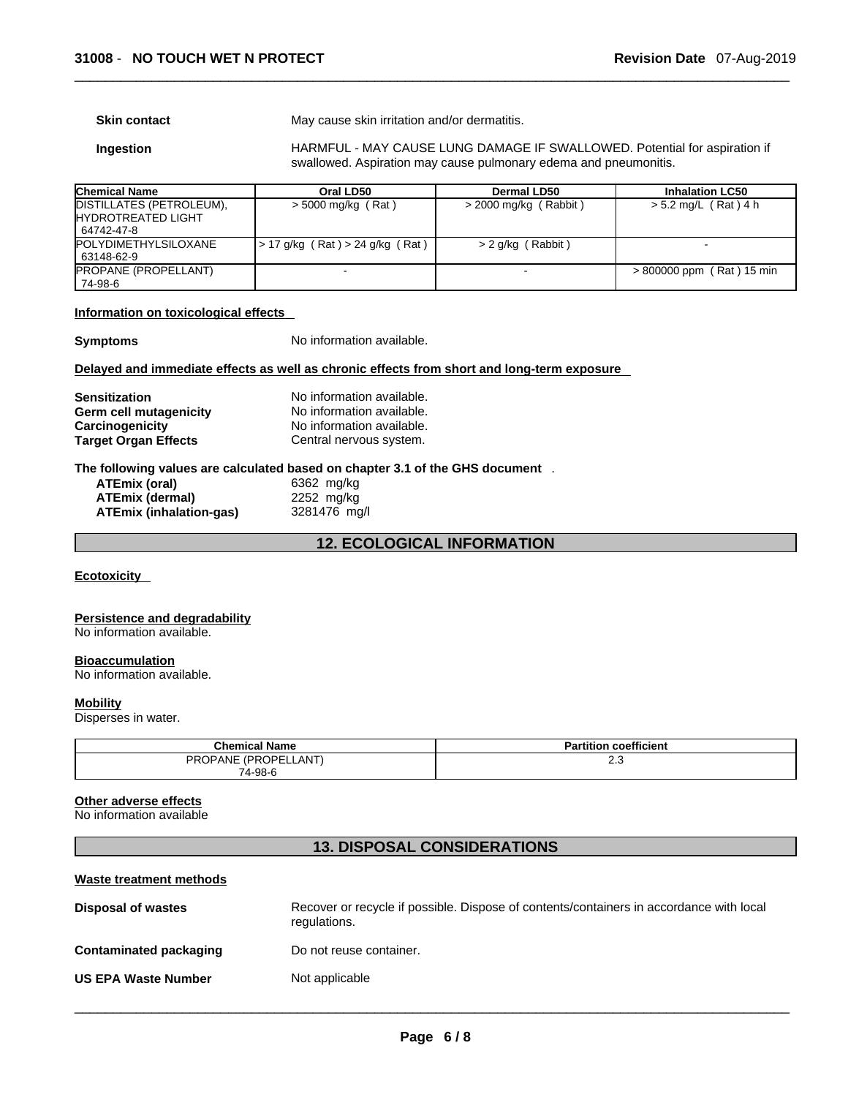**Skin contact** May cause skin irritation and/or dermatitis.

**Ingestion HARMFUL - MAY CAUSE LUNG DAMAGE IF SWALLOWED. Potential for aspiration if** swallowed. Aspiration may cause pulmonary edema and pneumonitis.

| <b>Chemical Name</b>                                                 | Oral LD50                       | Dermal LD50             | <b>Inhalation LC50</b>      |
|----------------------------------------------------------------------|---------------------------------|-------------------------|-----------------------------|
| DISTILLATES (PETROLEUM),<br><b>IHYDROTREATED LIGHT</b><br>64742-47-8 | > 5000 mg/kg (Rat)              | $>$ 2000 mg/kg (Rabbit) | > 5.2 mg/L (Rat) 4 h        |
| <b>POLYDIMETHYLSILOXANE</b><br>63148-62-9                            | > 17 g/kg (Rat) > 24 g/kg (Rat) | > 2 g/kg (Rabbit)       |                             |
| <b>PROPANE (PROPELLANT)</b><br>74-98-6                               |                                 |                         | $> 800000$ ppm (Rat) 15 min |

### **Information on toxicological effects**

**Symptoms** No information available.

#### **Delayed and immediate effects as well as chronic effects from short and long-term exposure**

| <b>Sensitization</b>        | No information available. |
|-----------------------------|---------------------------|
| Germ cell mutagenicity      | No information available. |
| Carcinogenicity             | No information available. |
| <b>Target Organ Effects</b> | Central nervous system.   |

#### **The following values are calculated based on chapter 3.1 of the GHS document** .

| ATEmix (oral)           | 6362 mg/kg   |
|-------------------------|--------------|
| ATEmix (dermal)         | 2252 mg/kg   |
| ATEmix (inhalation-qas) | 3281476 mg/l |

# **12. ECOLOGICAL INFORMATION**

#### **Ecotoxicity**

#### **Persistence and degradability**

No information available.

#### **Bioaccumulation**

No information available.

#### **Mobility**

Disperses in water.

| <b>Chemical Name</b> | <b>Partition coefficient</b> |
|----------------------|------------------------------|
| PROPANE (PROPELLANT) | ں ۔ے                         |
| 74-98-6              |                              |

#### **Other adverse effects**

No information available

# **13. DISPOSAL CONSIDERATIONS**

| Waste treatment methods       |                                                                                                         |
|-------------------------------|---------------------------------------------------------------------------------------------------------|
| Disposal of wastes            | Recover or recycle if possible. Dispose of contents/containers in accordance with local<br>regulations. |
| <b>Contaminated packaging</b> | Do not reuse container.                                                                                 |
| <b>US EPA Waste Number</b>    | Not applicable                                                                                          |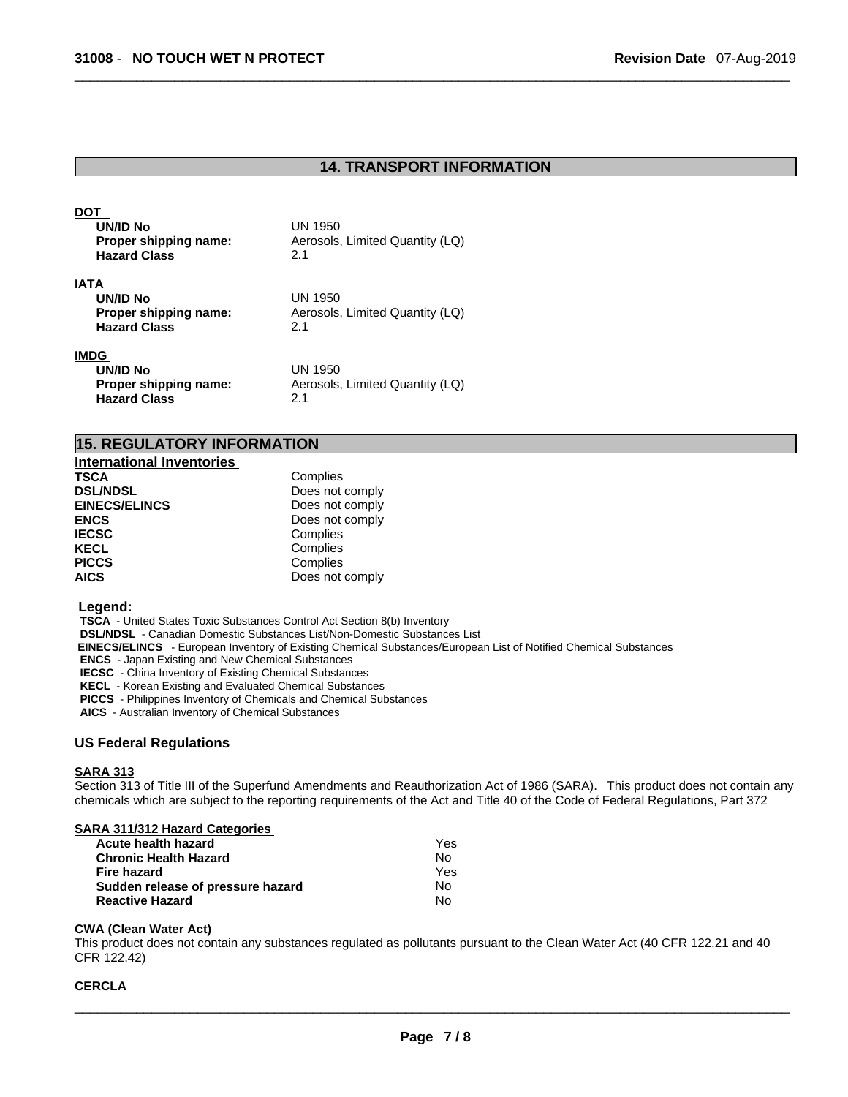# **14. TRANSPORT INFORMATION**

| DO 1<br>UN/ID No<br>Proper shipping name:<br><b>Hazard Class</b>        | UN 1950<br>Aerosols, Limited Quantity (LQ)<br>2.1 |
|-------------------------------------------------------------------------|---------------------------------------------------|
| <b>IATA</b><br>UN/ID No<br>Proper shipping name:<br><b>Hazard Class</b> | UN 1950<br>Aerosols, Limited Quantity (LQ)<br>2.1 |
| IMDG<br>UN/ID No<br>Proper shipping name:<br><b>Hazard Class</b>        | UN 1950<br>Aerosols, Limited Quantity (LQ)<br>2.1 |

| <b>15. REGULATORY INFORMATION</b> |  |
|-----------------------------------|--|
|                                   |  |

| <b>International Inventories</b> |                 |
|----------------------------------|-----------------|
| TSCA                             | Complies        |
| <b>DSL/NDSL</b>                  | Does not comply |
| <b>EINECS/ELINCS</b>             | Does not comply |
| <b>ENCS</b>                      | Does not comply |
| <b>IECSC</b>                     | Complies        |
| KECL                             | Complies        |
| <b>PICCS</b>                     | Complies        |
| <b>AICS</b>                      | Does not comply |

#### **Legend:**

**TSCA** - United States Toxic Substances Control Act Section 8(b) Inventory

**DSL/NDSL** - Canadian Domestic Substances List/Non-Domestic Substances List

 **EINECS/ELINCS** - European Inventory of Existing Chemical Substances/European List of Notified Chemical Substances

**ENCS** - Japan Existing and New Chemical Substances

**IECSC** - China Inventory of Existing Chemical Substances

**KECL** - Korean Existing and Evaluated Chemical Substances

**PICCS** - Philippines Inventory of Chemicals and Chemical Substances

**AICS** - Australian Inventory of Chemical Substances

#### **US Federal Regulations**

#### **SARA 313**

Section 313 of Title III of the Superfund Amendments and Reauthorization Act of 1986 (SARA). This product does not contain any chemicals which are subject to the reporting requirements of the Act and Title 40 of the Code of Federal Regulations, Part 372

#### **SARA 311/312 Hazard Categories**

| Acute health hazard               | Yes |  |
|-----------------------------------|-----|--|
| Chronic Health Hazard             | No. |  |
| Fire hazard                       | Yes |  |
| Sudden release of pressure hazard | No. |  |
| Reactive Hazard                   | No. |  |

# **CWA** (Clean Water Act)

This product does not contain any substances regulated as pollutants pursuant to the Clean Water Act (40 CFR 122.21 and 40 CFR 122.42)

#### **CERCLA**